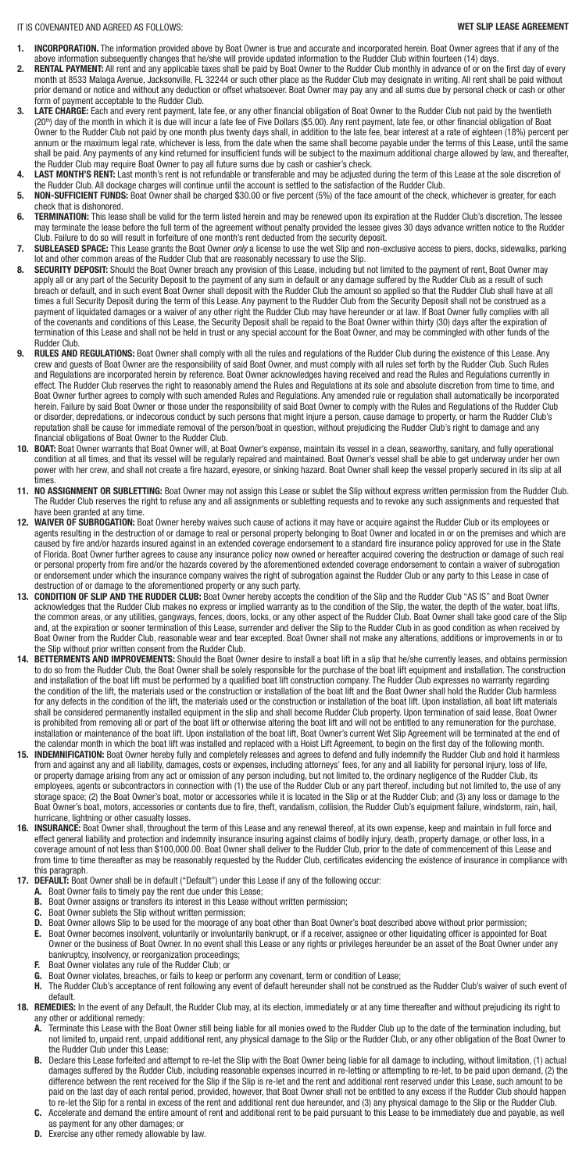- **INCORPORATION.** The information provided above by Boat Owner is true and accurate and incorporated herein. Boat Owner agrees that if any of the above information subsequently changes that he/she will provide updated information to the Rudder Club within fourteen (14) days.
- 2. RENTAL PAYMENT: All rent and any applicable taxes shall be paid by Boat Owner to the Rudder Club monthly in advance of or on the first day of every month at 8533 Malaga Avenue, Jacksonville, FL 32244 or such other place as the Rudder Club may designate in writing. All rent shall be paid without prior demand or notice and without any deduction or offset whatsoever. Boat Owner may pay any and all sums due by personal check or cash or other form of payment acceptable to the Rudder Club.
- **3.** LATE CHARGE: Each and every rent payment, late fee, or any other financial obligation of Boat Owner to the Rudder Club not paid by the twentieth (20<sup>th</sup>) day of the month in which it is due will incur a late fee of Five Dollars (\$5.00). Any rent payment, late fee, or other financial obligation of Boat Owner to the Rudder Club not paid by one month plus twenty days shall, in addition to the late fee, bear interest at a rate of eighteen (18%) percent per annum or the maximum legal rate, whichever is less, from the date when the same shall become payable under the terms of this Lease, until the same shall be paid. Any payments of any kind returned for insufficient funds will be subject to the maximum additional charge allowed by law, and thereafter, the Rudder Club may require Boat Owner to pay all future sums due by cash or cashier's check.
- **4. LAST MONTH'S RENT:** Last month's rent is not refundable or transferable and may be adjusted during the term of this Lease at the sole discretion of the Rudder Club. All dockage charges will continue until the account is settled to the satisfaction of the Rudder Club.
- **5.** NON-SUFFICIENT FUNDS: Boat Owner shall be charged \$30.00 or five percent (5%) of the face amount of the check, whichever is greater, for each check that is dishonored.
- 6. TERMINATION: This lease shall be valid for the term listed herein and may be renewed upon its expiration at the Rudder Club's discretion. The lessee may terminate the lease before the full term of the agreement without penalty provided the lessee gives 30 days advance written notice to the Rudder Club. Failure to do so will result in forfeiture of one month's rent deducted from the security deposit.
- **7.** SUBLEASED SPACE: This Lease grants the Boat Owner *only* a license to use the wet Slip and non-exclusive access to piers, docks, sidewalks, parking lot and other common areas of the Rudder Club that are reasonably necessary to use the Slip.
- **8.** SECURITY DEPOSIT: Should the Boat Owner breach any provision of this Lease, including but not limited to the payment of rent, Boat Owner may apply all or any part of the Security Deposit to the payment of any sum in default or any damage suffered by the Rudder Club as a result of such breach or default, and in such event Boat Owner shall deposit with the Rudder Club the amount so applied so that the Rudder Club shall have at all times a full Security Deposit during the term of this Lease. Any payment to the Rudder Club from the Security Deposit shall not be construed as a payment of liquidated damages or a waiver of any other right the Rudder Club may have hereunder or at law. If Boat Owner fully complies with all of the covenants and conditions of this Lease, the Security Deposit shall be repaid to the Boat Owner within thirty (30) days after the expiration of termination of this Lease and shall not be held in trust or any special account for the Boat Owner, and may be commingled with other funds of the Rudder Club.
- **RULES AND REGULATIONS:** Boat Owner shall comply with all the rules and regulations of the Rudder Club during the existence of this Lease. Any crew and guests of Boat Owner are the responsibility of said Boat Owner, and must comply with all rules set forth by the Rudder Club. Such Rules and Regulations are incorporated herein by reference. Boat Owner acknowledges having received and read the Rules and Regulations currently in effect. The Rudder Club reserves the right to reasonably amend the Rules and Regulations at its sole and absolute discretion from time to time, and Boat Owner further agrees to comply with such amended Rules and Regulations. Any amended rule or regulation shall automatically be incorporated herein. Failure by said Boat Owner or those under the responsibility of said Boat Owner to comply with the Rules and Regulations of the Rudder Club or disorder, depredations, or indecorous conduct by such persons that might injure a person, cause damage to property, or harm the Rudder Club's reputation shall be cause for immediate removal of the person/boat in question, without prejudicing the Rudder Club's right to damage and any financial obligations of Boat Owner to the Rudder Club.
- **10. BOAT:** Boat Owner warrants that Boat Owner will, at Boat Owner's expense, maintain its vessel in a clean, seaworthy, sanitary, and fully operational condition at all times, and that its vessel will be regularly repaired and maintained. Boat Owner's vessel shall be able to get underway under her own power with her crew, and shall not create a fire hazard, eyesore, or sinking hazard. Boat Owner shall keep the vessel properly secured in its slip at all times.
- **11. NO ASSIGNMENT OR SUBLETTING:** Boat Owner may not assign this Lease or sublet the Slip without express written permission from the Rudder Club. The Rudder Club reserves the right to refuse any and all assignments or subletting requests and to revoke any such assignments and requested that have been granted at any time.
- **12. WAIVER OF SUBROGATION:** Boat Owner hereby waives such cause of actions it may have or acquire against the Rudder Club or its employees or agents resulting in the destruction of or damage to real or personal property belonging to Boat Owner and located in or on the premises and which are caused by fire and/or hazards insured against in an extended coverage endorsement to a standard fire insurance policy approved for use in the State of Florida. Boat Owner further agrees to cause any insurance policy now owned or hereafter acquired covering the destruction or damage of such real or personal property from fire and/or the hazards covered by the aforementioned extended coverage endorsement to contain a waiver of subrogation or endorsement under which the insurance company waives the right of subrogation against the Rudder Club or any party to this Lease in case of destruction of or damage to the aforementioned property or any such party.
- **13. CONDITION OF SLIP AND THE RUDDER CLUB:** Boat Owner hereby accepts the condition of the Slip and the Rudder Club "AS IS" and Boat Owner acknowledges that the Rudder Club makes no express or implied warranty as to the condition of the Slip, the water, the depth of the water, boat lifts, the common areas, or any utilities, gangways, fences, doors, locks, or any other aspect of the Rudder Club. Boat Owner shall take good care of the Slip and, at the expiration or sooner termination of this Lease, surrender and deliver the Slip to the Rudder Club in as good condition as when received by Boat Owner from the Rudder Club, reasonable wear and tear excepted. Boat Owner shall not make any alterations, additions or improvements in or to the Slip without prior written consent from the Rudder Club.
- **14. BETTERMENTS AND IMPROVEMENTS:** Should the Boat Owner desire to install a boat lift in a slip that he/she currently leases, and obtains permission to do so from the Rudder Club, the Boat Owner shall be solely responsible for the purchase of the boat lift equipment and installation. The construction and installation of the boat lift must be performed by a qualified boat lift construction company. The Rudder Club expresses no warranty regarding the condition of the lift, the materials used or the construction or installation of the boat lift and the Boat Owner shall hold the Rudder Club harmless for any defects in the condition of the lift, the materials used or the construction or installation of the boat lift. Upon installation, all boat lift materials shall be considered permanently installed equipment in the slip and shall become Rudder Club property. Upon termination of said lease, Boat Owner is prohibited from removing all or part of the boat lift or otherwise altering the boat lift and will not be entitled to any remuneration for the purchase, installation or maintenance of the boat lift. Upon installation of the boat lift, Boat Owner's current Wet Slip Agreement will be terminated at the end of the calendar month in which the boat lift was installed and replaced with a Hoist Lift Agreement, to begin on the first day of the following month.
- **15. INDEMNIFICATION:** Boat Owner hereby fully and completely releases and agrees to defend and fully indemnify the Rudder Club and hold it harmless from and against any and all liability, damages, costs or expenses, including attorneys' fees, for any and all liability for personal injury, loss of life, or property damage arising from any act or omission of any person including, but not limited to, the ordinary negligence of the Rudder Club, its employees, agents or subcontractors in connection with (1) the use of the Rudder Club or any part thereof, including but not limited to, the use of any storage space; (2) the Boat Owner's boat, motor or accessories while it is located in the Slip or at the Rudder Club; and (3) any loss or damage to the Boat Owner's boat, motors, accessories or contents due to fire, theft, vandalism, collision, the Rudder Club's equipment failure, windstorm, rain, hail, hurricane, lightning or other casualty losses.
- **16. INSURANCE:** Boat Owner shall, throughout the term of this Lease and any renewal thereof, at its own expense, keep and maintain in full force and effect general liability and protection and indemnity insurance insuring against claims of bodily injury, death, property damage, or other loss, in a coverage amount of not less than \$100,000.00. Boat Owner shall deliver to the Rudder Club, prior to the date of commencement of this Lease and from time to time thereafter as may be reasonably requested by the Rudder Club, certificates evidencing the existence of insurance in compliance with

this paragraph.

- **17. DEFAULT:** Boat Owner shall be in default ("Default") under this Lease if any of the following occur:
	- **A.** Boat Owner fails to timely pay the rent due under this Lease;
	- **B.** Boat Owner assigns or transfers its interest in this Lease without written permission;
	- **C.** Boat Owner sublets the Slip without written permission;
	- **D.** Boat Owner allows Slip to be used for the moorage of any boat other than Boat Owner's boat described above without prior permission;
	- **E.** Boat Owner becomes insolvent, voluntarily or involuntarily bankrupt, or if a receiver, assignee or other liquidating officer is appointed for Boat Owner or the business of Boat Owner. In no event shall this Lease or any rights or privileges hereunder be an asset of the Boat Owner under any bankruptcy, insolvency, or reorganization proceedings;
	- **F.** Boat Owner violates any rule of the Rudder Club; or
	- **G.** Boat Owner violates, breaches, or fails to keep or perform any covenant, term or condition of Lease;
	- H. The Rudder Club's acceptance of rent following any event of default hereunder shall not be construed as the Rudder Club's waiver of such event of default.
- 18. REMEDIES: In the event of any Default, the Rudder Club may, at its election, immediately or at any time thereafter and without prejudicing its right to any other or additional remedy:
	- A. Terminate this Lease with the Boat Owner still being liable for all monies owed to the Rudder Club up to the date of the termination including, but not limited to, unpaid rent, unpaid additional rent, any physical damage to the Slip or the Rudder Club, or any other obligation of the Boat Owner to the Rudder Club under this Lease:
	- **B.** Declare this Lease forfeited and attempt to re-let the Slip with the Boat Owner being liable for all damage to including, without limitation, (1) actual damages suffered by the Rudder Club, including reasonable expenses incurred in re-letting or attempting to re-let, to be paid upon demand, (2) the difference between the rent received for the Slip if the Slip is re-let and the rent and additional rent reserved under this Lease, such amount to be paid on the last day of each rental period, provided, however, that Boat Owner shall not be entitled to any excess if the Rudder Club should happen to re-let the Slip for a rental in excess of the rent and additional rent due hereunder, and (3) any physical damage to the Slip or the Rudder Club.
	- **C.** Accelerate and demand the entire amount of rent and additional rent to be paid pursuant to this Lease to be immediately due and payable, as well as payment for any other damages; or
	- **D.** Exercise any other remedy allowable by law.